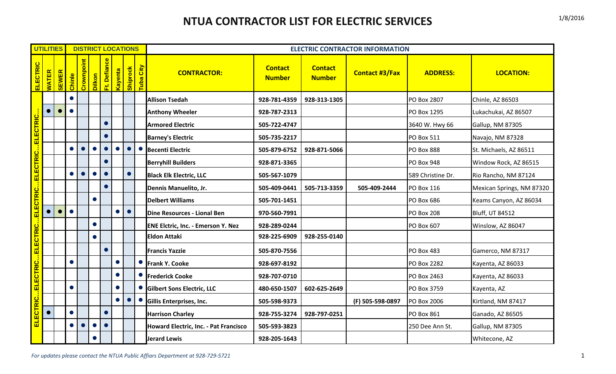## **NTUA CONTRACTOR LIST FOR ELECTRIC SERVICES** 1/8/2016

|                                                   | <b>UTILITIES</b> |              | <b>DISTRICT LOCATIONS</b> |            |           |              |           |          |           | <b>ELECTRIC CONTRACTOR INFORMATION</b>    |                                 |                                 |                       |                    |                           |
|---------------------------------------------------|------------------|--------------|---------------------------|------------|-----------|--------------|-----------|----------|-----------|-------------------------------------------|---------------------------------|---------------------------------|-----------------------|--------------------|---------------------------|
| ELECTRIC                                          | <b>WATER</b>     | <b>SEWER</b> | Chinle                    | Crownpoint | Dilkon    | Ft. Defiance | Kayenta   | Shiprock | Tuba City | <b>CONTRACTOR:</b>                        | <b>Contact</b><br><b>Number</b> | <b>Contact</b><br><b>Number</b> | <b>Contact #3/Fax</b> | <b>ADDRESS:</b>    | <b>LOCATION:</b>          |
|                                                   |                  |              | $\bullet$                 |            |           |              |           |          |           | <b>Allison Tsedah</b>                     | 928-781-4359                    | 928-313-1305                    |                       | PO Box 2807        | Chinle, AZ 86503          |
|                                                   | $\bullet$        |              | $\bullet$                 |            |           |              |           |          |           | <b>Anthony Wheeler</b>                    | 928-787-2313                    |                                 |                       | PO Box 1295        | Lukachukai, AZ 86507      |
|                                                   |                  |              |                           |            |           | $\bullet$    |           |          |           | <b>Armored Electric</b>                   | 505-722-4747                    |                                 |                       | 3640 W. Hwy 66     | Gallup, NM 87305          |
|                                                   |                  |              |                           |            |           | $\bullet$    |           |          |           | <b>Barney's Electric</b>                  | 505-735-2217                    |                                 |                       | PO Box 511         | Navajo, NM 87328          |
|                                                   |                  |              |                           |            |           |              |           |          | $\bullet$ | <b>Becenti Electric</b>                   | 505-879-6752                    | 928-871-5066                    |                       | <b>PO Box 888</b>  | St. Michaels, AZ 86511    |
|                                                   |                  |              |                           |            |           |              |           |          |           | <b>Berryhill Builders</b>                 | 928-871-3365                    |                                 |                       | <b>PO Box 948</b>  | Window Rock, AZ 86515     |
|                                                   |                  |              |                           |            |           |              |           |          |           | <b>Black Elk Electric, LLC</b>            | 505-567-1079                    |                                 |                       | 589 Christine Dr.  | Rio Rancho, NM 87124      |
|                                                   |                  |              |                           |            |           | $\bullet$    |           |          |           | Dennis Manuelito, Jr.                     | 505-409-0441                    | 505-713-3359                    | 505-409-2444          | PO Box 116         | Mexican Springs, NM 87320 |
|                                                   |                  |              |                           |            | $\bullet$ |              |           |          |           | <b>Delbert Williams</b>                   | 505-701-1451                    |                                 |                       | PO Box 686         | Keams Canyon, AZ 86034    |
|                                                   |                  |              | $\bullet$                 |            |           |              | $\bullet$ |          |           | Dine Resources - Lional Ben               | 970-560-7991                    |                                 |                       | <b>PO Box 208</b>  | <b>Bluff, UT 84512</b>    |
|                                                   |                  |              |                           |            | $\bullet$ |              |           |          |           | <b>ENE Elctric, Inc. - Emerson Y. Nez</b> | 928-289-0244                    |                                 |                       | PO Box 607         | Winslow, AZ 86047         |
|                                                   |                  |              |                           |            | $\bullet$ |              |           |          |           | <b>Eldon Attaki</b>                       | 928-225-6909                    | 928-255-0140                    |                       |                    |                           |
|                                                   |                  |              |                           |            |           | $\bullet$    |           |          |           | <b>Francis Yazzie</b>                     | 505-870-7556                    |                                 |                       | <b>PO Box 483</b>  | Gamerco, NM 87317         |
|                                                   |                  |              |                           |            |           |              | $\bullet$ |          | $\bullet$ | <b>Frank Y. Cooke</b>                     | 928-697-8192                    |                                 |                       | <b>PO Box 2282</b> | Kayenta, AZ 86033         |
|                                                   |                  |              |                           |            |           |              |           |          | $\bullet$ | <b>Frederick Cooke</b>                    | 928-707-0710                    |                                 |                       | PO Box 2463        | Kayenta, AZ 86033         |
|                                                   |                  |              | $\bullet$                 |            |           |              | $\bullet$ |          | $\bullet$ | <b>Gilbert Sons Electric, LLC</b>         | 480-650-1507                    | 602-625-2649                    |                       | PO Box 3759        | Kayenta, AZ               |
| ELECTRICELECTRICELECTRICELECTRICELECTRICELECTRIC. |                  |              |                           |            |           |              | $\bullet$ |          |           | Gillis Enterprises, Inc.                  | 505-598-9373                    |                                 | (F) 505-598-0897      | PO Box 2006        | Kirtland, NM 87417        |
|                                                   |                  |              |                           |            |           | $\bullet$    |           |          |           | <b>Harrison Charley</b>                   | 928-755-3274                    | 928-797-0251                    |                       | <b>PO Box 861</b>  | Ganado, AZ 86505          |
|                                                   |                  |              |                           |            |           | $\bullet$    |           |          |           | Howard Electric, Inc. - Pat Francisco     | 505-593-3823                    |                                 |                       | 250 Dee Ann St.    | Gallup, NM 87305          |
|                                                   |                  |              |                           |            |           |              |           |          |           | <b>Jerard Lewis</b>                       | 928-205-1643                    |                                 |                       |                    | Whitecone, AZ             |